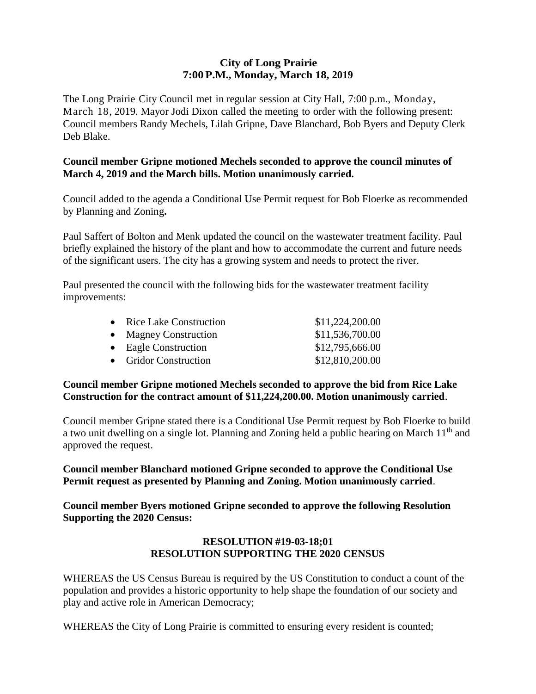## **City of Long Prairie 7:00P.M., Monday, March 18, 2019**

The Long Prairie City Council met in regular session at City Hall, 7:00 p.m., Monday, March 18, 2019. Mayor Jodi Dixon called the meeting to order with the following present: Council members Randy Mechels, Lilah Gripne, Dave Blanchard, Bob Byers and Deputy Clerk Deb Blake.

# **Council member Gripne motioned Mechels seconded to approve the council minutes of March 4, 2019 and the March bills. Motion unanimously carried.**

Council added to the agenda a Conditional Use Permit request for Bob Floerke as recommended by Planning and Zoning**.**

Paul Saffert of Bolton and Menk updated the council on the wastewater treatment facility. Paul briefly explained the history of the plant and how to accommodate the current and future needs of the significant users. The city has a growing system and needs to protect the river.

Paul presented the council with the following bids for the wastewater treatment facility improvements:

| • Rice Lake Construction | \$11,224,200.00 |
|--------------------------|-----------------|
| • Magney Construction    | \$11,536,700.00 |
| • Eagle Construction     | \$12,795,666.00 |
| • Gridor Construction    | \$12,810,200.00 |

# **Council member Gripne motioned Mechels seconded to approve the bid from Rice Lake Construction for the contract amount of \$11,224,200.00. Motion unanimously carried**.

Council member Gripne stated there is a Conditional Use Permit request by Bob Floerke to build a two unit dwelling on a single lot. Planning and Zoning held a public hearing on March 11<sup>th</sup> and approved the request.

**Council member Blanchard motioned Gripne seconded to approve the Conditional Use Permit request as presented by Planning and Zoning. Motion unanimously carried**.

**Council member Byers motioned Gripne seconded to approve the following Resolution Supporting the 2020 Census:**

# **RESOLUTION #19-03-18;01 RESOLUTION SUPPORTING THE 2020 CENSUS**

WHEREAS the US Census Bureau is required by the US Constitution to conduct a count of the population and provides a historic opportunity to help shape the foundation of our society and play and active role in American Democracy;

WHEREAS the City of Long Prairie is committed to ensuring every resident is counted;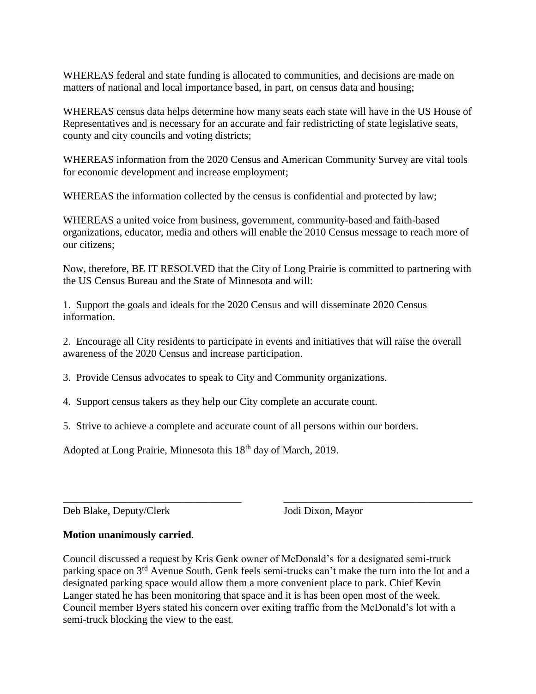WHEREAS federal and state funding is allocated to communities, and decisions are made on matters of national and local importance based, in part, on census data and housing;

WHEREAS census data helps determine how many seats each state will have in the US House of Representatives and is necessary for an accurate and fair redistricting of state legislative seats, county and city councils and voting districts;

WHEREAS information from the 2020 Census and American Community Survey are vital tools for economic development and increase employment;

WHEREAS the information collected by the census is confidential and protected by law;

WHEREAS a united voice from business, government, community-based and faith-based organizations, educator, media and others will enable the 2010 Census message to reach more of our citizens;

Now, therefore, BE IT RESOLVED that the City of Long Prairie is committed to partnering with the US Census Bureau and the State of Minnesota and will:

1. Support the goals and ideals for the 2020 Census and will disseminate 2020 Census information.

2. Encourage all City residents to participate in events and initiatives that will raise the overall awareness of the 2020 Census and increase participation.

3. Provide Census advocates to speak to City and Community organizations.

4. Support census takers as they help our City complete an accurate count.

5. Strive to achieve a complete and accurate count of all persons within our borders.

Adopted at Long Prairie, Minnesota this 18<sup>th</sup> day of March, 2019.

Deb Blake, Deputy/Clerk Jodi Dixon, Mayor

#### **Motion unanimously carried**.

Council discussed a request by Kris Genk owner of McDonald's for a designated semi-truck parking space on 3<sup>rd</sup> Avenue South. Genk feels semi-trucks can't make the turn into the lot and a designated parking space would allow them a more convenient place to park. Chief Kevin Langer stated he has been monitoring that space and it is has been open most of the week. Council member Byers stated his concern over exiting traffic from the McDonald's lot with a semi-truck blocking the view to the east.

\_\_\_\_\_\_\_\_\_\_\_\_\_\_\_\_\_\_\_\_\_\_\_\_\_\_\_\_\_\_\_\_\_\_ \_\_\_\_\_\_\_\_\_\_\_\_\_\_\_\_\_\_\_\_\_\_\_\_\_\_\_\_\_\_\_\_\_\_\_\_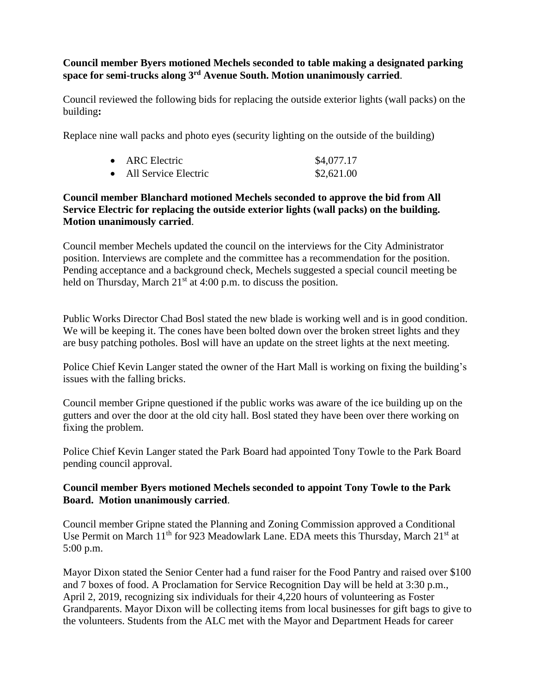## **Council member Byers motioned Mechels seconded to table making a designated parking space for semi-trucks along 3rd Avenue South. Motion unanimously carried**.

Council reviewed the following bids for replacing the outside exterior lights (wall packs) on the building**:**

Replace nine wall packs and photo eyes (security lighting on the outside of the building)

| ARC Electric         | \$4,077.17 |
|----------------------|------------|
| All Service Electric | \$2,621.00 |

# **Council member Blanchard motioned Mechels seconded to approve the bid from All Service Electric for replacing the outside exterior lights (wall packs) on the building. Motion unanimously carried**.

Council member Mechels updated the council on the interviews for the City Administrator position. Interviews are complete and the committee has a recommendation for the position. Pending acceptance and a background check, Mechels suggested a special council meeting be held on Thursday, March  $21<sup>st</sup>$  at 4:00 p.m. to discuss the position.

Public Works Director Chad Bosl stated the new blade is working well and is in good condition. We will be keeping it. The cones have been bolted down over the broken street lights and they are busy patching potholes. Bosl will have an update on the street lights at the next meeting.

Police Chief Kevin Langer stated the owner of the Hart Mall is working on fixing the building's issues with the falling bricks.

Council member Gripne questioned if the public works was aware of the ice building up on the gutters and over the door at the old city hall. Bosl stated they have been over there working on fixing the problem.

Police Chief Kevin Langer stated the Park Board had appointed Tony Towle to the Park Board pending council approval.

# **Council member Byers motioned Mechels seconded to appoint Tony Towle to the Park Board. Motion unanimously carried**.

Council member Gripne stated the Planning and Zoning Commission approved a Conditional Use Permit on March  $11<sup>th</sup>$  for 923 Meadowlark Lane. EDA meets this Thursday, March  $21<sup>st</sup>$  at 5:00 p.m.

Mayor Dixon stated the Senior Center had a fund raiser for the Food Pantry and raised over \$100 and 7 boxes of food. A Proclamation for Service Recognition Day will be held at 3:30 p.m., April 2, 2019, recognizing six individuals for their 4,220 hours of volunteering as Foster Grandparents. Mayor Dixon will be collecting items from local businesses for gift bags to give to the volunteers. Students from the ALC met with the Mayor and Department Heads for career